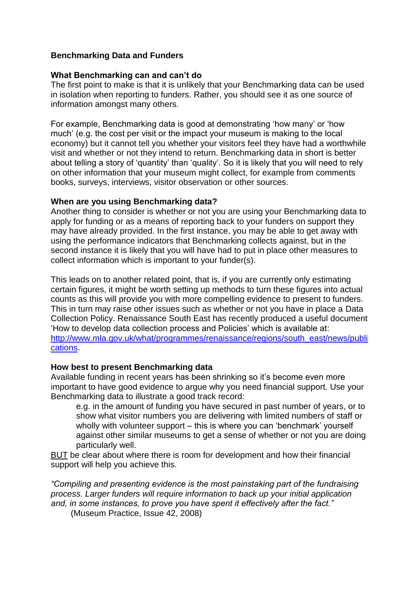## **Benchmarking Data and Funders**

#### **What Benchmarking can and can't do**

The first point to make is that it is unlikely that your Benchmarking data can be used in isolation when reporting to funders. Rather, you should see it as one source of information amongst many others.

For example, Benchmarking data is good at demonstrating 'how many' or 'how much' (e.g. the cost per visit or the impact your museum is making to the local economy) but it cannot tell you whether your visitors feel they have had a worthwhile visit and whether or not they intend to return. Benchmarking data in short is better about telling a story of 'quantity' than 'quality'. So it is likely that you will need to rely on other information that your museum might collect, for example from comments books, surveys, interviews, visitor observation or other sources.

#### **When are you using Benchmarking data?**

Another thing to consider is whether or not you are using your Benchmarking data to apply for funding or as a means of reporting back to your funders on support they may have already provided. In the first instance, you may be able to get away with using the performance indicators that Benchmarking collects against, but in the second instance it is likely that you will have had to put in place other measures to collect information which is important to your funder(s).

This leads on to another related point, that is, if you are currently only estimating certain figures, it might be worth setting up methods to turn these figures into actual counts as this will provide you with more compelling evidence to present to funders. This in turn may raise other issues such as whether or not you have in place a Data Collection Policy. Renaissance South East has recently produced a useful document 'How to develop data collection process and Policies' which is available at: [http://www.mla.gov.uk/what/programmes/renaissance/regions/south\\_east/news/publi](http://www.mla.gov.uk/what/programmes/renaissance/regions/south_east/news/publications) [cations.](http://www.mla.gov.uk/what/programmes/renaissance/regions/south_east/news/publications)

## **How best to present Benchmarking data**

Available funding in recent years has been shrinking so it's become even more important to have good evidence to argue why you need financial support. Use your Benchmarking data to illustrate a good track record:

e.g. in the amount of funding you have secured in past number of years, or to show what visitor numbers you are delivering with limited numbers of staff or wholly with volunteer support – this is where you can 'benchmark' yourself against other similar museums to get a sense of whether or not you are doing particularly well.

BUT be clear about where there is room for development and how their financial support will help you achieve this.

*"Compiling and presenting evidence is the most painstaking part of the fundraising process. Larger funders will require information to back up your initial application and, in some instances, to prove you have spent it effectively after the fact."*

(Museum Practice, Issue 42, 2008)